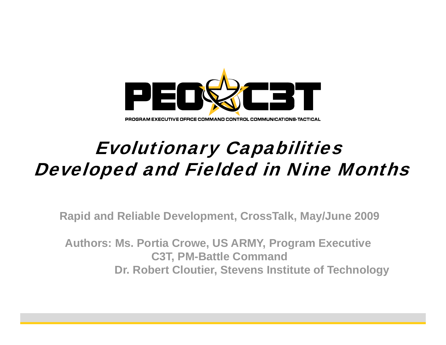

#### PROGRAM EXECUTIVE OFFICE COMMAND CONTROL COMMUNICATIONS-TACTICAL

### Evolutionary Capabilities Developed and Fielded in Nine Months

**Rapid and Reliable Development, CrossTalk, May/June 2009**

**Authors: Ms. Portia Crowe, US ARMY, Program Executive C3T, PM-Battle Command Dr. Robert Cloutier, Stevens Institute of Technology**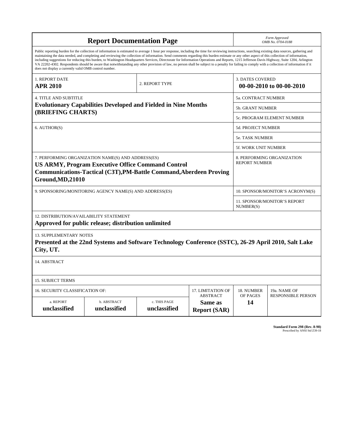| <b>Report Documentation Page</b>                                                                                                                                                                                                                                                                                                                                                                                                                                                                                                                                                                                                                                                                                                                                                                                                                                   |                                                         |                              |                                                   |                                  | Form Approved<br>OMB No. 0704-0188        |  |
|--------------------------------------------------------------------------------------------------------------------------------------------------------------------------------------------------------------------------------------------------------------------------------------------------------------------------------------------------------------------------------------------------------------------------------------------------------------------------------------------------------------------------------------------------------------------------------------------------------------------------------------------------------------------------------------------------------------------------------------------------------------------------------------------------------------------------------------------------------------------|---------------------------------------------------------|------------------------------|---------------------------------------------------|----------------------------------|-------------------------------------------|--|
| Public reporting burden for the collection of information is estimated to average 1 hour per response, including the time for reviewing instructions, searching existing data sources, gathering and<br>maintaining the data needed, and completing and reviewing the collection of information. Send comments regarding this burden estimate or any other aspect of this collection of information,<br>including suggestions for reducing this burden, to Washington Headquarters Services, Directorate for Information Operations and Reports, 1215 Jefferson Davis Highway, Suite 1204, Arlington<br>VA 22202-4302. Respondents should be aware that notwithstanding any other provision of law, no person shall be subject to a penalty for failing to comply with a collection of information if it<br>does not display a currently valid OMB control number. |                                                         |                              |                                                   |                                  |                                           |  |
| <b>1. REPORT DATE</b><br><b>APR 2010</b>                                                                                                                                                                                                                                                                                                                                                                                                                                                                                                                                                                                                                                                                                                                                                                                                                           |                                                         | 2. REPORT TYPE               |                                                   | <b>3. DATES COVERED</b>          | 00-00-2010 to 00-00-2010                  |  |
| <b>4. TITLE AND SUBTITLE</b>                                                                                                                                                                                                                                                                                                                                                                                                                                                                                                                                                                                                                                                                                                                                                                                                                                       |                                                         |                              |                                                   |                                  | 5a. CONTRACT NUMBER                       |  |
| <b>Evolutionary Capabilities Developed and Fielded in Nine Months</b>                                                                                                                                                                                                                                                                                                                                                                                                                                                                                                                                                                                                                                                                                                                                                                                              |                                                         |                              |                                                   |                                  | <b>5b. GRANT NUMBER</b>                   |  |
| (BRIEFING CHARTS)                                                                                                                                                                                                                                                                                                                                                                                                                                                                                                                                                                                                                                                                                                                                                                                                                                                  |                                                         |                              |                                                   | 5c. PROGRAM ELEMENT NUMBER       |                                           |  |
| 6. AUTHOR(S)                                                                                                                                                                                                                                                                                                                                                                                                                                                                                                                                                                                                                                                                                                                                                                                                                                                       |                                                         |                              | 5d. PROJECT NUMBER                                |                                  |                                           |  |
|                                                                                                                                                                                                                                                                                                                                                                                                                                                                                                                                                                                                                                                                                                                                                                                                                                                                    |                                                         |                              | <b>5e. TASK NUMBER</b>                            |                                  |                                           |  |
|                                                                                                                                                                                                                                                                                                                                                                                                                                                                                                                                                                                                                                                                                                                                                                                                                                                                    |                                                         |                              | 5f. WORK UNIT NUMBER                              |                                  |                                           |  |
| 7. PERFORMING ORGANIZATION NAME(S) AND ADDRESS(ES)<br>8. PERFORMING ORGANIZATION<br><b>REPORT NUMBER</b><br><b>US ARMY, Program Executive Office Command Control</b><br>Communications-Tactical (C3T), PM-Battle Command, Aberdeen Proving<br>Ground, MD, 21010                                                                                                                                                                                                                                                                                                                                                                                                                                                                                                                                                                                                    |                                                         |                              |                                                   |                                  |                                           |  |
|                                                                                                                                                                                                                                                                                                                                                                                                                                                                                                                                                                                                                                                                                                                                                                                                                                                                    | 9. SPONSORING/MONITORING AGENCY NAME(S) AND ADDRESS(ES) |                              |                                                   | 10. SPONSOR/MONITOR'S ACRONYM(S) |                                           |  |
|                                                                                                                                                                                                                                                                                                                                                                                                                                                                                                                                                                                                                                                                                                                                                                                                                                                                    |                                                         |                              |                                                   |                                  | 11. SPONSOR/MONITOR'S REPORT<br>NUMBER(S) |  |
| 12. DISTRIBUTION/AVAILABILITY STATEMENT<br>Approved for public release; distribution unlimited                                                                                                                                                                                                                                                                                                                                                                                                                                                                                                                                                                                                                                                                                                                                                                     |                                                         |                              |                                                   |                                  |                                           |  |
| <b>13. SUPPLEMENTARY NOTES</b><br>Presented at the 22nd Systems and Software Technology Conference (SSTC), 26-29 April 2010, Salt Lake<br>City, UT.                                                                                                                                                                                                                                                                                                                                                                                                                                                                                                                                                                                                                                                                                                                |                                                         |                              |                                                   |                                  |                                           |  |
| 14. ABSTRACT                                                                                                                                                                                                                                                                                                                                                                                                                                                                                                                                                                                                                                                                                                                                                                                                                                                       |                                                         |                              |                                                   |                                  |                                           |  |
| <b>15. SUBJECT TERMS</b>                                                                                                                                                                                                                                                                                                                                                                                                                                                                                                                                                                                                                                                                                                                                                                                                                                           |                                                         |                              |                                                   |                                  |                                           |  |
| 16. SECURITY CLASSIFICATION OF:                                                                                                                                                                                                                                                                                                                                                                                                                                                                                                                                                                                                                                                                                                                                                                                                                                    |                                                         |                              | 17. LIMITATION OF                                 | 18. NUMBER                       | 19a. NAME OF                              |  |
| a. REPORT<br>unclassified                                                                                                                                                                                                                                                                                                                                                                                                                                                                                                                                                                                                                                                                                                                                                                                                                                          | b. ABSTRACT<br>unclassified                             | c. THIS PAGE<br>unclassified | <b>ABSTRACT</b><br>Same as<br><b>Report (SAR)</b> | OF PAGES<br>14                   | <b>RESPONSIBLE PERSON</b>                 |  |

**Standard Form 298 (Rev. 8-98)**<br>Prescribed by ANSI Std Z39-18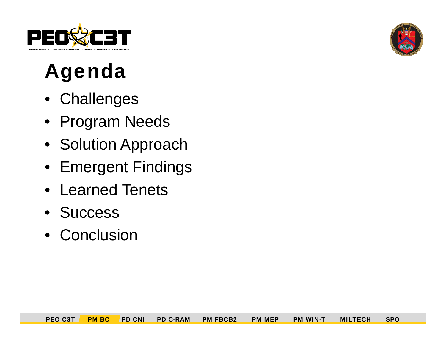

# Agenda

- Challenges
- Program Needs
- Solution Approach
- Emergent Findings
- Learned Tenets
- Success
- Conclusion

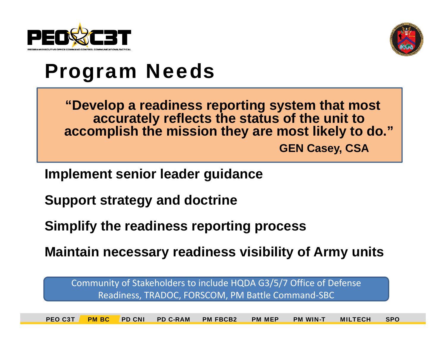



### Program Needs

**"Develop <sup>a</sup> readiness reporting system that most Develop accurately reflects the status of the unit to accomplish the mission they are most likely to do."** 

**GEN Casey CSA Casey,** 

**Implement senior leader guidance**

**Support strategy and doctrine**

**Simplify the readiness reporting process**

**Maintain necessary readiness visibility of Army units** 

Community of Stakeholders to include HQDA G3/5/7 Office of Defense Readiness, TRADOC, FORSCOM, PM Battle Command‐SBC

PEO C3T PM BC PD CNI PD C-RAM PM FBCB2 PM MEP PM WIN-T MILTECH SPO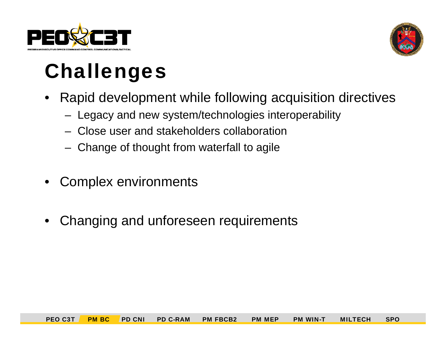



# **Challenges**

- • Rapid development while following acquisition directives
	- Legacy and new system/technologies interoperability
	- Close user and stakeholders collaboration
	- Change of thought from waterfall to agile
- •Complex environments
- •Changing and unforeseen requirements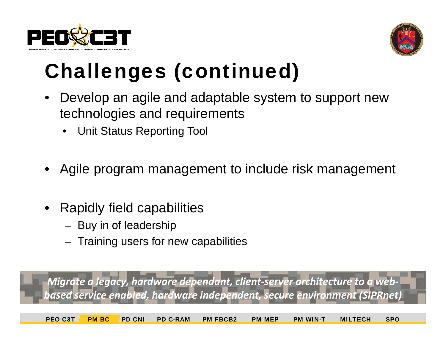



# **Challenges (continued)**

- • Develop an agile and adaptable system to support new technologies and requirements
	- Unit Status Reporting Tool
- •Agile program management to include risk management
- • Rapidly field capabilities
	- Buy in of leadership
	- Training users for new capabilities

*Migrate <sup>a</sup> legacy hardware dependant client server architecture to a web legacy, dependant, ‐‐ based service enabled, hardware independent, secure environment (SIPRnet)*

PEO C3T PM BC PD CNI PD C-RAM PM FBCB2 PM MEP PM WIN-T MILTECH SPO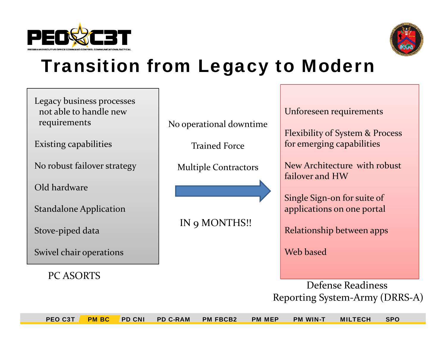



### Transition from Legacy to Modern

| Legacy business processes<br>not able to handle new<br>requirements | No operational downtime     | Unforeseen requirements<br><b>Flexibility of System &amp; Process</b><br>for emerging capabilities |  |
|---------------------------------------------------------------------|-----------------------------|----------------------------------------------------------------------------------------------------|--|
| <b>Existing capabilities</b>                                        | <b>Trained Force</b>        |                                                                                                    |  |
| No robust failover strategy                                         | <b>Multiple Contractors</b> | New Architecture with robust<br>failover and HW                                                    |  |
| Old hardware                                                        |                             | Single Sign-on for suite of                                                                        |  |
| <b>Standalone Application</b>                                       |                             | applications on one portal                                                                         |  |
| Stove-piped data                                                    | IN 9 MONTHS!!               | Relationship between apps                                                                          |  |
| Swivel chair operations                                             |                             | Web based                                                                                          |  |
| <b>PC ASORTS</b>                                                    |                             |                                                                                                    |  |
|                                                                     |                             | Defense Readiness                                                                                  |  |
|                                                                     |                             | Reporting System-Army (DRRS-A)                                                                     |  |

PEO C3T PM BC PD CNI PD C-RAM PM FBCB2 PM MEP PM WIN-T MILTECH SPO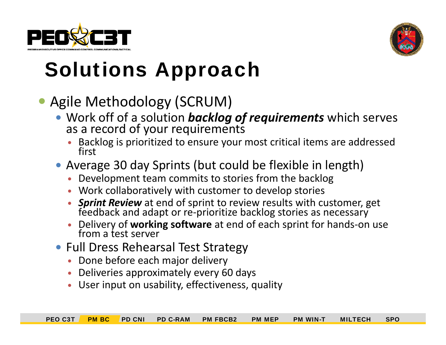



# **Solutions Approach**

### · Agile Methodology (SCRUM)

- Work off of a solution **backlog of requirements** which serves as a record of your requirements
	- **•** Backlog is prioritized to ensure your most critical items are addressed first
- Average 30 day Sprints (but could be flexible in length)
	- Development team commits to stories from the backlog
	- Work collaboratively with customer to develop stories
	- **Sprint Review** at end of sprint to review results with customer, get feedback and adapt or re-prioritize backlog stories as necessary and adapt or re ‐prioritize backlog stories as necessary
	- $\bullet$  Delivery of **working software** at end of each sprint for hands ‐on use from a test server
- Full Dress Rehearsal Test Strategy
	- Done before each major delivery
	- Deliveries approximately every 60 days
	- User input on usability, effectiveness, quality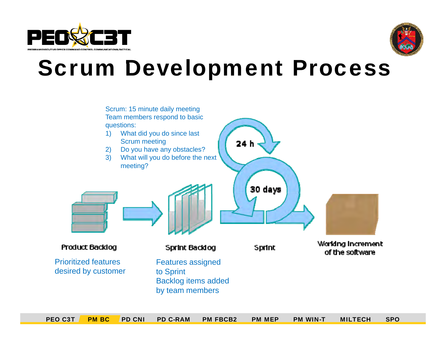



# Scrum Development Process

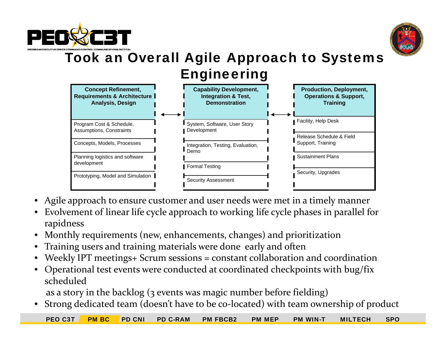



#### Took an Overall Agile Approach to Systems Engineering



- •Agile approach to ensure customer and user needs were met in <sup>a</sup> timely manner
- • Evolvement of linear life cycle approach to working life cycle phases in parallel for rapidness
- •Monthly requirements (new, enhancements, changes) and prioritization
- •Training users and training materials were done early and often
- •Weekly IPT meetings+ Scrum sessions <sup>=</sup> constant collaboration and coordination
- • Operational test events were conducted at coordinated checkpoints with bug/fix scheduled

as a story in the backlog (3 events was magic number before fielding)

•Strong dedicated team (doesn't have to be co‐located) with team ownership of product

PEO C3T PM BC PD CNI PD C-RAM PM FBCB2 PM MEP PM WIN-T MILTECH SPO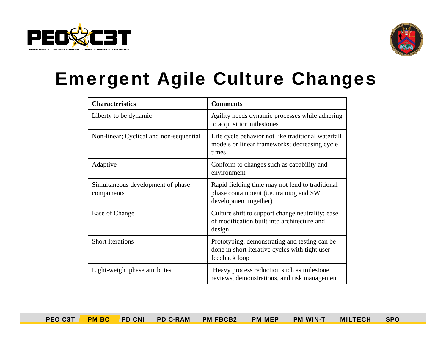



### Emergent Agile Culture Changes

| <b>Characteristics</b>                          | <b>Comments</b>                                                                                                     |  |  |
|-------------------------------------------------|---------------------------------------------------------------------------------------------------------------------|--|--|
| Liberty to be dynamic                           | Agility needs dynamic processes while adhering<br>to acquisition milestones                                         |  |  |
| Non-linear; Cyclical and non-sequential         | Life cycle behavior not like traditional waterfall<br>models or linear frameworks; decreasing cycle<br>times        |  |  |
| Adaptive                                        | Conform to changes such as capability and<br>environment                                                            |  |  |
| Simultaneous development of phase<br>components | Rapid fielding time may not lend to traditional<br>phase containment (i.e. training and SW<br>development together) |  |  |
| Ease of Change                                  | Culture shift to support change neutrality; ease<br>of modification built into architecture and<br>design           |  |  |
| <b>Short Iterations</b>                         | Prototyping, demonstrating and testing can be<br>done in short iterative cycles with tight user<br>feedback loop    |  |  |
| Light-weight phase attributes                   | Heavy process reduction such as milestone<br>reviews, demonstrations, and risk management                           |  |  |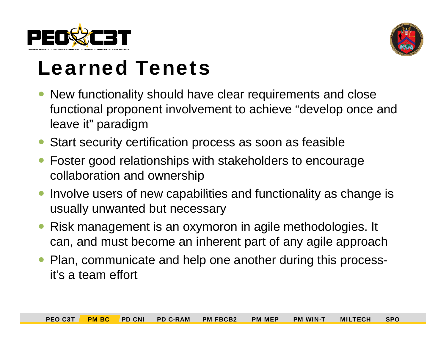



# **Learned Tenets**

- New functionality should have clear requirements and close functional proponent involvement to achieve "develop once and leave it" paradigm
- $\bullet$ Start security certification process as soon as feasible
- $\bullet$  Foster good relationships with stakeholders to encourage collaboration and ownership
- $\bullet$ Involve users of new capabilities and functionality as change is usually unwanted but necessary
- $\bullet$  Risk management is an oxymoron in agile methodologies. It can, and must become an inherent part of any agile approach
- $\bullet$  Plan, communicate and help one another during this processit's a team effort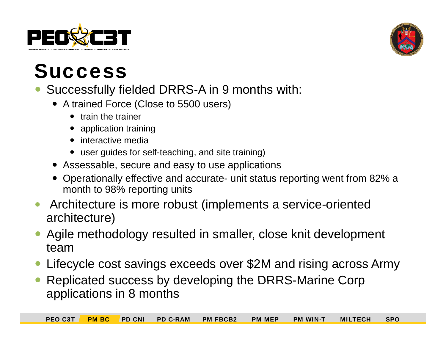



### **Success**

- Successfully fielded DRRS-A in 9 months with:
	- A trained Force (Close to 5500 users)
		- train the trainer
		- application training
		- interactive media
		- $\bullet\;$  user guides for self-teaching, and site training)
	- Assessable, secure and easy to use applications
	- Operationally effective and accurate- unit status reporting went from 82% a month to 98% reporting units
- $\bullet$  Architecture is more robust (implements a service-oriented architecture)
- $\bullet$  Agile methodology resulted in smaller, close knit development team
- $\bullet$ Lifecycle cost savings exceeds over \$2M and rising across Army
- $\bullet$ • Replicated success by developing the DRRS-Marine Corp applications in 8 months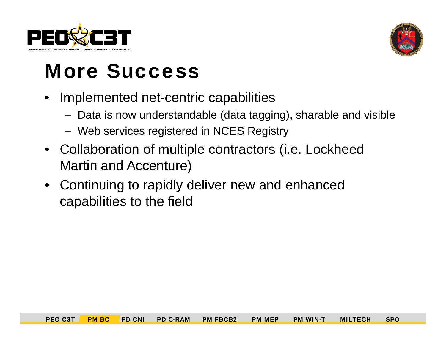



# **More Success**

- • Implemented net-centric capabilities
	- Data is now understandable (data tagging), sharable and visible
	- Web services registered in NCES Registry
- Collaboration of multiple contractors (i.e. Lockheed Martin and Accenture)
- $\bullet$  Continuing to rapidly deliver new and enhanced capabilities to the field